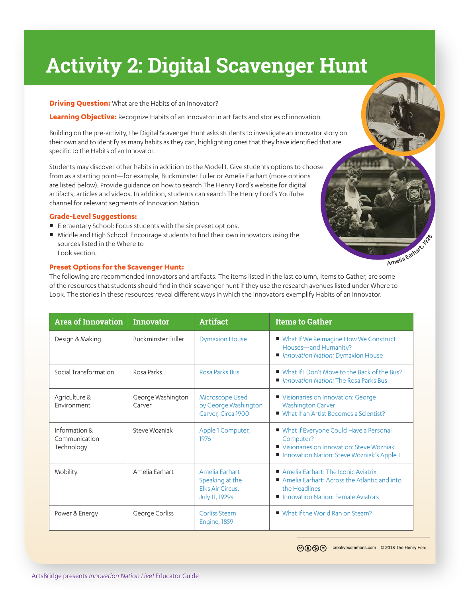# **Activity 2: Digital Scavenger Hunt**

#### **Driving Question:** What are the Habits of an Innovator?

**Learning Objective:** Recognize Habits of an Innovator in artifacts and stories of innovation.

Building on the pre-activity, the Digital Scavenger Hunt asks students to investigate an innovator story on their own and to identify as many habits as they can, highlighting ones that they have identified that are specific to the Habits of an Innovator.

Students may discover other habits in addition to the Model I. Give students options to choose from as a starting point—for example, Buckminster Fuller or Amelia Earhart (more options are listed below). Provide guidance on how to search The Henry Ford's website for digital artifacts, articles and videos. In addition, students can search The Henry Ford's YouTube channel for relevant segments of Innovation Nation.

### **Grade-Level Suggestions:**

- Elementary School: Focus students with the six preset options.
- Middle and High School: Encourage students to find their own innovators using the sources listed in the Where to Look section.

### **Preset Options for the Scavenger Hunt:**

The following are recommended innovators and artifacts. The items listed in the last column, Items to Gather, are some of the resources that students should find in their scavenger hunt if they use the research avenues listed under Where to Look. The stories in these resources reveal different ways in which the innovators exemplify Habits of an Innovator.

| <b>Area of Innovation</b>                    | <b>Innovator</b>            | <b>Artifact</b>                                                         | <b>Items to Gather</b>                                                                                                                            |
|----------------------------------------------|-----------------------------|-------------------------------------------------------------------------|---------------------------------------------------------------------------------------------------------------------------------------------------|
| Design & Making                              | <b>Buckminster Fuller</b>   | <b>Dymaxion House</b>                                                   | ■ What If We Reimagine How We Construct<br>Houses-and Humanity?<br><b>Innovation Nation: Dymaxion House</b>                                       |
| Social Transformation                        | Rosa Parks                  | <b>Rosa Parks Bus</b>                                                   | ■ What If I Don't Move to the Back of the Bus?<br>■ Innovation Nation: The Rosa Parks Bus                                                         |
| Agriculture &<br>Environment                 | George Washington<br>Carver | Microscope Used<br>by George Washington<br>Carver, Circa 1900           | ■ Visionaries on Innovation: George<br><b>Washington Carver</b><br>■ What If an Artist Becomes a Scientist?                                       |
| Information &<br>Communication<br>Technology | Steve Wozniak               | Apple 1 Computer,<br>1976                                               | ■ What if Everyone Could Have a Personal<br>Computer?<br>■ Visionaries on Innovation: Steve Wozniak<br>Innovation Nation: Steve Wozniak's Apple 1 |
| Mobility                                     | Amelia Earhart              | Amelia Earhart<br>Speaking at the<br>Elks Air Circus,<br>July 11, 1929s | Amelia Earhart: The Iconic Aviatrix<br>Amelia Earhart: Across the Atlantic and into<br>the Headlines<br>Innovation Nation: Female Aviators        |
| Power & Energy                               | George Corliss              | Corliss Steam<br><b>Engine, 1859</b>                                    | ■ What If the World Ran on Steam?                                                                                                                 |

Amelia Earhart,